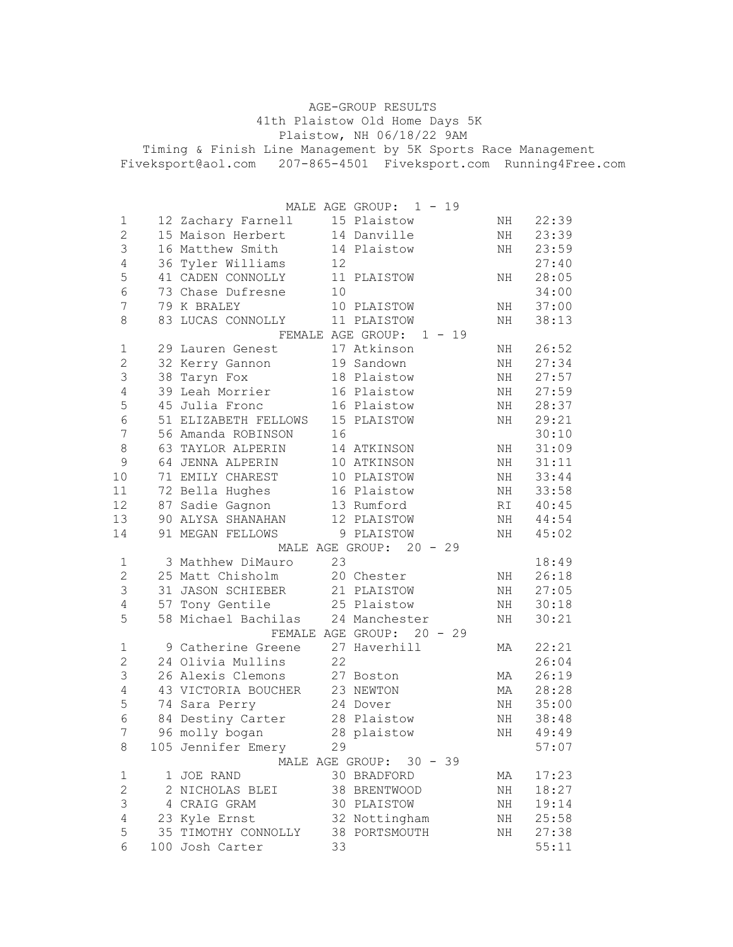| AGE-GROUP RESULTS                                                  |  |
|--------------------------------------------------------------------|--|
| 41th Plaistow Old Home Days 5K                                     |  |
| Plaistow, NH 06/18/22 9AM                                          |  |
| Timing & Finish Line Management by 5K Sports Race Management       |  |
| Fiveksport@aol.com  207-865-4501  Fiveksport.com  Running4Free.com |  |
|                                                                    |  |

|                |                                   |    | MALE AGE GROUP: 1 - 19     |    |          |
|----------------|-----------------------------------|----|----------------------------|----|----------|
| 1              | 12 Zachary Farnell                |    | 15 Plaistow                | NH | 22:39    |
| $\mathbf{2}$   | 15 Maison Herbert 14 Danville     |    |                            | NH | 23:39    |
| $\mathfrak{Z}$ | 16 Matthew Smith 14 Plaistow      |    |                            | NH | 23:59    |
| $\sqrt{4}$     | 36 Tyler Williams 12              |    |                            |    | 27:40    |
| 5              | 41 CADEN CONNOLLY 11 PLAISTOW     |    |                            | ΝH | 28:05    |
| $\sqrt{6}$     | 73 Chase Dufresne                 | 10 |                            |    | 34:00    |
| 7              | 79 K BRALEY                       |    | 10 PLAISTOW                | NH | 37:00    |
| 8              | 83 LUCAS CONNOLLY 11 PLAISTOW     |    |                            | NH | 38:13    |
|                |                                   |    | FEMALE AGE GROUP: 1 - 19   |    |          |
| 1              | 29 Lauren Genest                  |    | 17 Atkinson                | ΝH | 26:52    |
| $\mathbf{2}$   | 32 Kerry Gannon 19 Sandown        |    |                            | NH | 27:34    |
| $\mathsf 3$    | 38 Taryn Fox                      |    | 18 Plaistow                | NH | 27:57    |
| $\sqrt{4}$     | 39 Leah Morrier 16 Plaistow       |    |                            | NH | 27:59    |
| 5              | 45 Julia Fronc 16 Plaistow        |    |                            | ΝH | 28:37    |
| $\overline{6}$ | 51 ELIZABETH FELLOWS 15 PLAISTOW  |    |                            | NH | 29:21    |
| $\overline{7}$ | 56 Amanda ROBINSON                | 16 |                            |    | 30:10    |
| $\,8\,$        | 63 TAYLOR ALPERIN                 |    | 14 ATKINSON                | ΝH | 31:09    |
| $\mathsf 9$    | 64 JENNA ALPERIN                  |    | 10 ATKINSON                | ΝH | 31:11    |
| $10$           | 71 EMILY CHAREST                  |    | 10 PLAISTOW                | ΝH | 33:44    |
| 11             | 72 Bella Hughes                   |    | 16 Plaistow<br>13 Rumford  | NH | 33:58    |
| 12             | 87 Sadie Gagnon                   |    |                            | RI | 40:45    |
| 13             | 90 ALYSA SHANAHAN                 |    | 12 PLAISTOW                | NH | 44:54    |
| 14             | 91 MEGAN FELLOWS                  |    | 9 PLAISTOW                 | NH | 45:02    |
|                |                                   |    | MALE AGE GROUP: 20 - 29    |    |          |
| $\mathbf 1$    | 3 Mathhew DiMauro                 | 23 |                            |    | 18:49    |
| $\mathbf{2}$   | 25 Matt Chisholm                  |    | 20 Chester                 | NH | 26:18    |
| $\mathfrak{Z}$ | 31 JASON SCHIEBER                 |    |                            | NH | 27:05    |
| $\sqrt{4}$     | 57 Tony Gentile                   |    | 21 PLAISTOW<br>25 Plaistow | ΝH | 30:18    |
| 5              | 58 Michael Bachilas 24 Manchester |    |                            | ΝH | 30:21    |
|                |                                   |    | FEMALE AGE GROUP: 20 - 29  |    |          |
| $\mathbf 1$    | 9 Catherine Greene 27 Haverhill   |    |                            | МA | 22:21    |
| $\mathbf 2$    | 24 Olivia Mullins                 | 22 |                            |    | 26:04    |
| $\mathsf 3$    | 26 Alexis Clemons 27 Boston       |    |                            | МA | 26:19    |
| $\sqrt{4}$     | 43 VICTORIA BOUCHER 23 NEWTON     |    |                            | МA | 28:28    |
| 5              | 74 Sara Perry                     |    | 24 Dover                   | ΝH | 35:00    |
| 6              | 84 Destiny Carter 28 Plaistow     |    |                            | NH | 38:48    |
| 7 <sup>7</sup> |                                   |    |                            |    | NH 49:49 |
| 8              | 105 Jennifer Emery                | 29 |                            |    | 57:07    |
|                |                                   |    | MALE AGE GROUP: 30 - 39    |    |          |
| 1              | 1 JOE RAND                        |    | 30 BRADFORD                | МA | 17:23    |
| $\sqrt{2}$     | 2 NICHOLAS BLEI                   |    | 38 BRENTWOOD               | ΝH | 18:27    |
| 3              | 4 CRAIG GRAM                      |    | 30 PLAISTOW                | ΝH | 19:14    |
| 4              | 23 Kyle Ernst                     |    | 32 Nottingham              | ΝH | 25:58    |
| 5              | 35 TIMOTHY CONNOLLY 38 PORTSMOUTH |    |                            | ΝH | 27:38    |
| 6              | 100 Josh Carter                   | 33 |                            |    | 55:11    |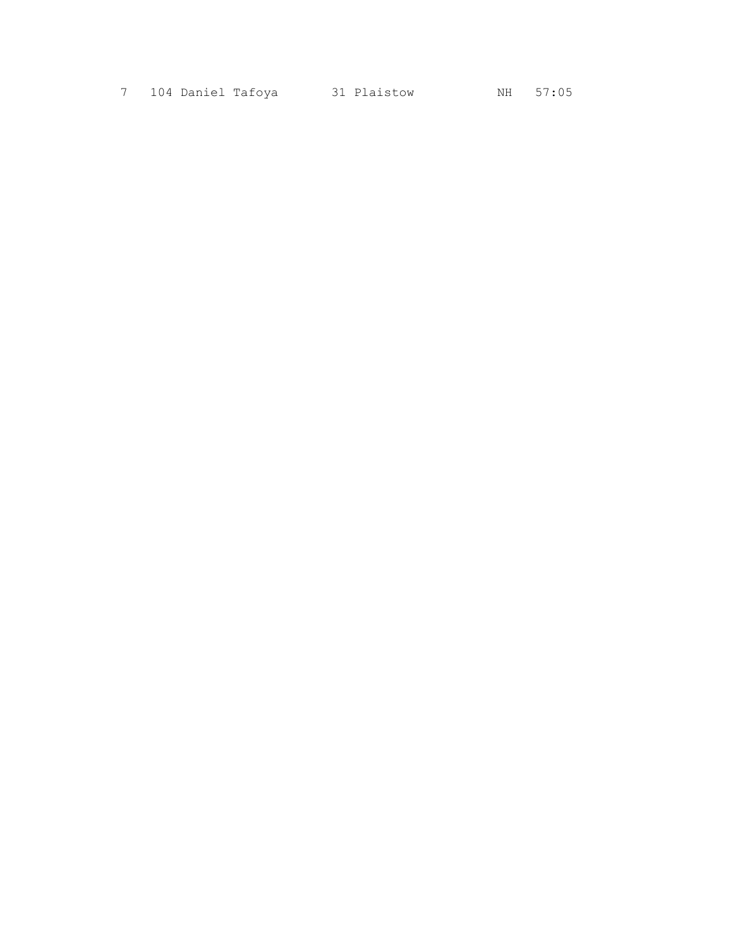7 104 Daniel Tafoya 31 Plaistow MH 57:05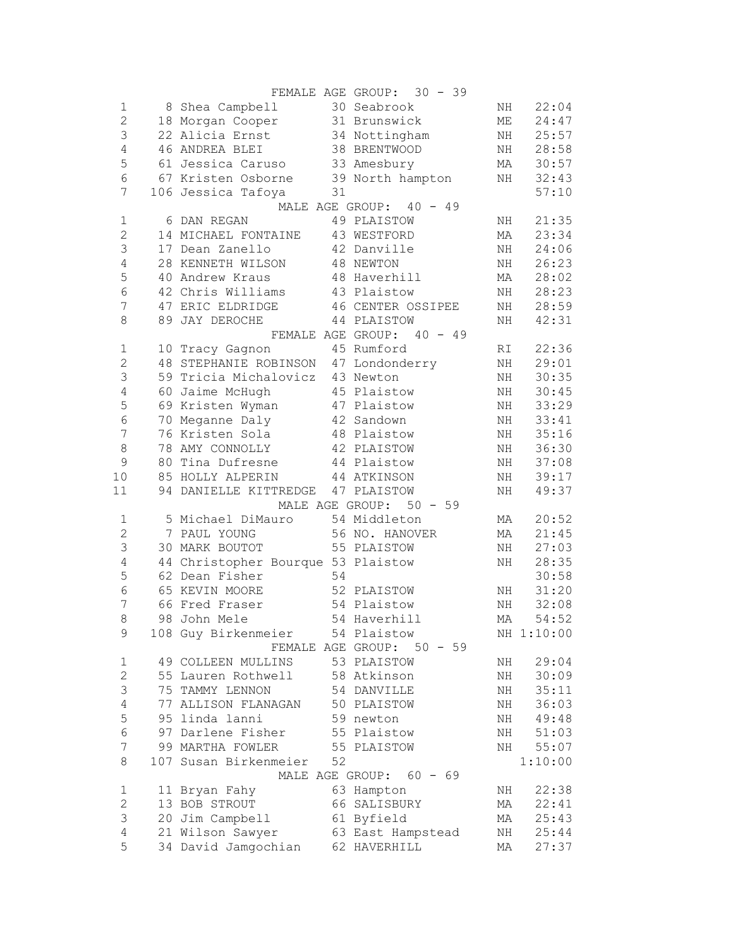|                  |                                      |    | FEMALE AGE GROUP: 30 - 39 |    |            |
|------------------|--------------------------------------|----|---------------------------|----|------------|
| $\mathbf 1$      | 8 Shea Campbell 30 Seabrook          |    |                           | NH | 22:04      |
| $\overline{c}$   | 18 Morgan Cooper 31 Brunswick        |    |                           | ME | 24:47      |
| $\mathsf 3$      | 22 Alicia Ernst                      |    | 34 Nottingham             | ΝH | 25:57      |
| $\sqrt{4}$       | 46 ANDREA BLEI                       |    | 38 BRENTWOOD              | NH | 28:58      |
| 5                | 61 Jessica Caruso 33 Amesbury        |    |                           | МA | 30:57      |
| $\epsilon$       | 67 Kristen Osborne 39 North hampton  |    |                           | NH | 32:43      |
| 7                | 106 Jessica Tafoya                   | 31 |                           |    | 57:10      |
|                  |                                      |    | MALE AGE GROUP: 40 - 49   |    |            |
| $\mathbf 1$      | 6 DAN REGAN                          |    | 49 PLAISTOW               | NH | 21:35      |
| $\mathbf{2}$     | 14 MICHAEL FONTAINE                  |    | 43 WESTFORD               | МA | 23:34      |
| $\mathsf 3$      | 17 Dean Zanello                      |    | 42 Danville               | NH | 24:06      |
| $\sqrt{4}$       | 28 KENNETH WILSON                    |    | 48 NEWTON                 | NH | 26:23      |
| 5                | 40 Andrew Kraus                      |    | 48 Haverhill              | МA | 28:02      |
| $\epsilon$       | 42 Chris Williams 43 Plaistow        |    |                           | NH | 28:23      |
| $\overline{7}$   | 47 ERIC ELDRIDGE                     |    | 46 CENTER OSSIPEE         | NH | 28:59      |
| 8                | 89 JAY DEROCHE                       |    | 44 PLAISTOW               | NH | 42:31      |
|                  |                                      |    | FEMALE AGE GROUP: 40 - 49 |    |            |
| $\mathbf 1$      | 10 Tracy Gagnon                      |    | 45 Rumford                | RI | 22:36      |
| $\mathbf{2}$     | 48 STEPHANIE ROBINSON 47 Londonderry |    |                           | NH | 29:01      |
| $\mathfrak{Z}$   | 59 Tricia Michalovicz 43 Newton      |    |                           | NH | 30:35      |
| $\sqrt{4}$       | 60 Jaime McHugh                      |    | 45 Plaistow               | NH | 30:45      |
| 5                | 69 Kristen Wyman 47 Plaistow         |    |                           | NH | 33:29      |
| $\sqrt{6}$       | 70 Meganne Daly 42 Sandown           |    |                           | NH | 33:41      |
| $\boldsymbol{7}$ | 76 Kristen Sola 48 Plaistow          |    |                           | NH | 35:16      |
| $\,8\,$          |                                      |    |                           |    | 36:30      |
|                  | 78 AMY CONNOLLY                      |    | 42 PLAISTOW               | NH |            |
| $\mathcal{G}$    | 80 Tina Dufresne                     |    | 44 Plaistow               | NH | 37:08      |
| 10               | 85 HOLLY ALPERIN 44 ATKINSON         |    |                           | NH | 39:17      |
| 11               | 94 DANIELLE KITTREDGE 47 PLAISTOW    |    |                           | NH | 49:37      |
|                  |                                      |    | MALE AGE GROUP: 50 - 59   |    |            |
| 1                | 5 Michael DiMauro                    |    | 54 Middleton              | МA | 20:52      |
| $\mathbf{2}$     | 7 PAUL YOUNG                         |    | 56 NO. HANOVER            | МA | 21:45      |
| $\mathsf S$      | 30 MARK BOUTOT                       |    | 55 PLAISTOW               | NH | 27:03      |
| $\overline{4}$   | 44 Christopher Bourque 53 Plaistow   |    |                           | NH | 28:35      |
| 5                | 62 Dean Fisher                       | 54 |                           |    | 30:58      |
| 6                | 65 KEVIN MOORE                       |    | 52 PLAISTOW               | ΝH | 31:20      |
| 7                | 66 Fred Fraser                       |    | 54 Plaistow               | NH | 32:08      |
| 8                | 98 John Mele                         |    | 54 Haverhill              | MA | 54:52      |
| 9                | 108 Guy Birkenmeier                  |    | 54 Plaistow               |    | NH 1:10:00 |
|                  |                                      |    | FEMALE AGE GROUP: 50 - 59 |    |            |
| 1                | 49 COLLEEN MULLINS                   |    | 53 PLAISTOW               | ΝH | 29:04      |
| $\mathbf{2}$     | 55 Lauren Rothwell                   |    | 58 Atkinson               | NH | 30:09      |
| 3                | 75 TAMMY LENNON                      |    | 54 DANVILLE               | NH | 35:11      |
| $\sqrt{4}$       | 77 ALLISON FLANAGAN                  |    | 50 PLAISTOW               | ΝH | 36:03      |
| 5                | 95 linda lanni                       |    | 59 newton                 | ΝH | 49:48      |
| $\sqrt{6}$       | 97 Darlene Fisher                    |    | 55 Plaistow               | ΝH | 51:03      |
| $\overline{7}$   | 99 MARTHA FOWLER                     |    | 55 PLAISTOW               | ΝH | 55:07      |
| 8                | 107 Susan Birkenmeier                | 52 |                           |    | 1:10:00    |
|                  |                                      |    | MALE AGE GROUP: 60 - 69   |    |            |
| $\mathbf 1$      | 11 Bryan Fahy                        |    | 63 Hampton                | ΝH | 22:38      |
| $\overline{c}$   | 13 BOB STROUT                        |    | 66 SALISBURY              | МA | 22:41      |
| 3                | 20 Jim Campbell                      |    | 61 Byfield                | МA | 25:43      |
| 4                | 21 Wilson Sawyer                     |    | 63 East Hampstead         | ΝH | 25:44      |
| 5                | 34 David Jamgochian                  |    | 62 HAVERHILL              | МA | 27:37      |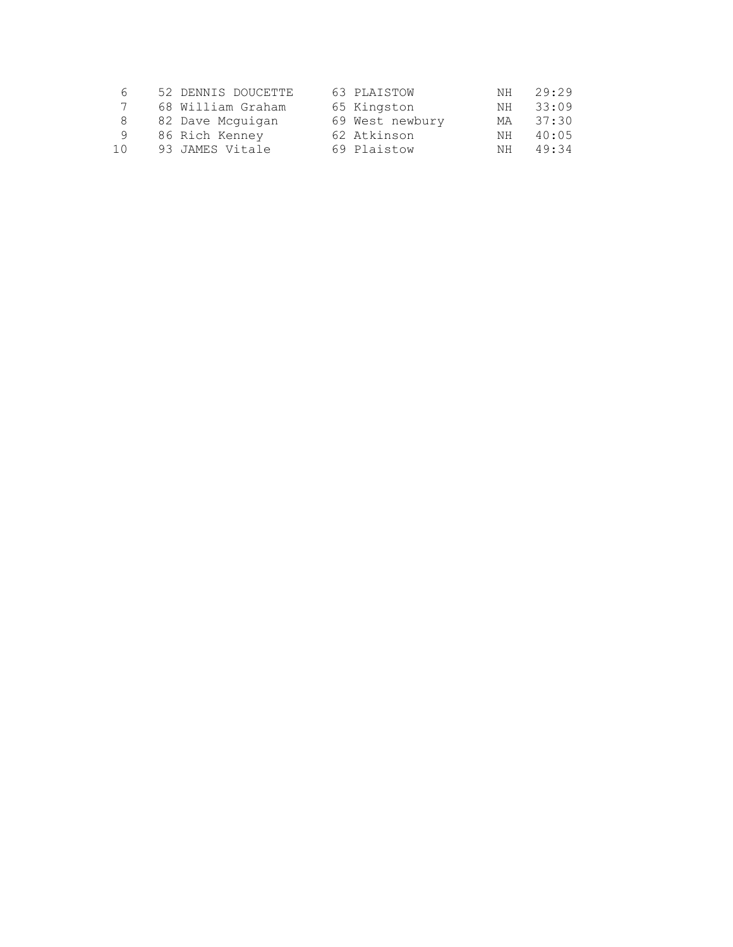| 6   | 52 DENNIS DOUCETTE | 63 PLAISTOW     | NH. | 29:29 |
|-----|--------------------|-----------------|-----|-------|
|     | 68 William Graham  | 65 Kingston     | NH  | 33:09 |
| 8   | 82 Dave Mcquigan   | 69 West newbury | МA  | 37:30 |
| 9   | 86 Rich Kenney     | 62 Atkinson     | NH  | 40:05 |
| 1 N | 93 JAMES Vitale    | 69 Plaistow     | NH. | 49:34 |